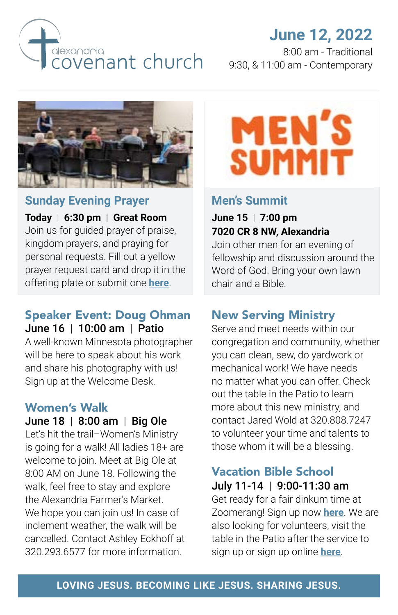

# **June 12, 2022**

8:00 am - Traditional 9:30, & 11:00 am - Contemporary



### **Sunday Evening Prayer**

**Today** | **6:30 pm** | **Great Room** Join us for guided prayer of praise, kingdom prayers, and praying for personal requests. Fill out a yellow prayer request card and drop it in the offering plate or submit one **[here](https://alexandriacovenant.ccbchurch.com/goto/forms/37/responses/new)**.

#### Speaker Event: Doug Ohman June 16 | 10:00 am | Patio

A well-known Minnesota photographer will be here to speak about his work and share his photography with us! Sign up at the Welcome Desk.

## Women's Walk

June 18 | 8:00 am | Big Ole Let's hit the trail–Women's Ministry is going for a walk! All ladies 18+ are welcome to join. Meet at Big Ole at 8:00 AM on June 18. Following the walk, feel free to stay and explore the Alexandria Farmer's Market. We hope you can join us! In case of inclement weather, the walk will be cancelled. Contact Ashley Eckhoff at 320.293.6577 for more information.



## **Men's Summit**

**June 15** | **7:00 pm 7020 CR 8 NW, Alexandria** 

Join other men for an evening of fellowship and discussion around the Word of God. Bring your own lawn chair and a Bible.

## New Serving Ministry

Serve and meet needs within our congregation and community, whether you can clean, sew, do yardwork or mechanical work! We have needs no matter what you can offer. Check out the table in the Patio to learn more about this new ministry, and contact Jared Wold at 320.808.7247 to volunteer your time and talents to those whom it will be a blessing.

## Vacation Bible School July 11-14 | 9:00-11:30 am

Get ready for a fair dinkum time at Zoomerang! Sign up now **[here](https://alexandriacovenant.ccbchurch.com/goto/forms/333/responses/new)**. We are also looking for volunteers, visit the table in the Patio after the service to sign up or sign up online **[here](https://alexandriacovenant.ccbchurch.com/goto/forms/336/responses/new)**.

#### **LOVING JESUS. BECOMING LIKE JESUS. SHARING JESUS.**